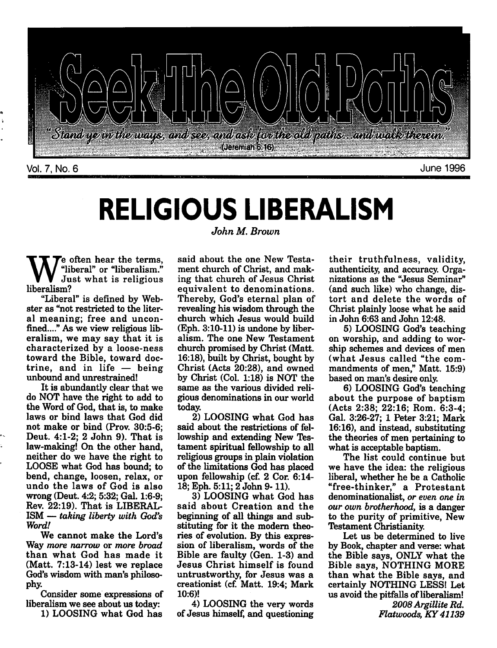

### *RELIGIOUS LIBERALISM* **John M. Brown**

e often hear the terms, "liberal" or "liberalism." Just what is religious liberalism?

"Liberal" is defined by Web ster as "not restricted to the liter al meaning; free and unconfined...." As we view religious lib eralism, we may say that it is characterized by a loose-ness toward the Bible, toward doc trine, and in life — being unbound and unrestrained!

It is abundantly clear that we do NOT have the right to add to the Word of God, that is, to make laws or bind laws that God did not make or bind (Prov. 30:5-6; Deut. 4:1-2; 2 John 9). That is law-making! On the other hand, neither do we have the right to LOOSE what God has bound; to bend, change, loosen, relax, or undo the laws of God is also wrong (Deut. 4:2; 5:32; Gal. 1:6-9; Rev. 22:19). That is LIBERAL ISM — **taking liberty with God's Word!**

We cannot make the Lord's Way **more narrow** or **more broad** than what God has made it (Matt. 7:13-14) lest we replace God's wisdom with man's philoso phy.

Consider some expressions of liberalism we see about us today:

1) LOOSING what God has

said about the one New Testa ment church of Christ, and mak ing that church of Jesus Christ equivalent to denominations. Thereby, God's eternal plan of revealing his wisdom through the church which Jesus would build (Eph. 3:10-11) is undone by liber alism. The one New Testament church promised by Christ (Matt. 16:18), built by Christ, bought by Christ (Acts 20:28), and owned by Christ (Col. 1:18) is NOT the same as the various divided reli gious denominations in our world today.

2) LOOSING what God has said about the restrictions of fel lowship and extending New Tes tament spiritual fellowship to all religious groups in plain violation of the limitations God has placed upon fellowship (cf. 2 Cor. 6:14- 18; Eph. 5:11; 2 John 9-11).

3) LOOSING what God has said about Creation and the beginning of all things and sub stituting for it the modern theo ries of evolution. By this expres sion of liberalism, words of the Bible are faulty (Gen. 1-3) and Jesus Christ himself is found untrustworthy, for Jesus was a creationist (cf. Matt. 19:4; Mark 10:6)!

4) LOOSING the very words of Jesus himself, and questioning their truthfulness, validity, authenticity, and accuracy. Orga nizations as the "Jesus Seminar" (and such like) who change, dis tort and delete the words of Christ plainly loose what he said in John 6:63 and John 12:48.

5) LOOSING God's teaching on worship, and adding to wor ship schemes and devices of men (what Jesus called "the com mandments of men," Matt. 15:9) based on man's desire only.

6) LOOSING God's teaching about the purpose of baptism (Acts 2:38; 22:16; Rom. 6:3-4; Gal. 3:26-27; 1 Peter 3:21; Mark 16:16), and instead, substituting the theories of men pertaining to what is acceptable baptism.

The list could continue but we have the idea: the religious liberal, whether he be a Catholic "free-thinker," a Protestant denominationalist, or even one in **our own brotherhood,** is a danger to the purity of primitive, New Testament Christianity.

Let us be determined to live by Book, chapter and verse: what the Bible says, ONLY what the Bible says, NOTHING MORE than what the Bible says, and certainly NOTHING LESS! Let us avoid the pitfalls of liberalism! **2008Argillite Rd.**

**Flatwoods, KY 41139**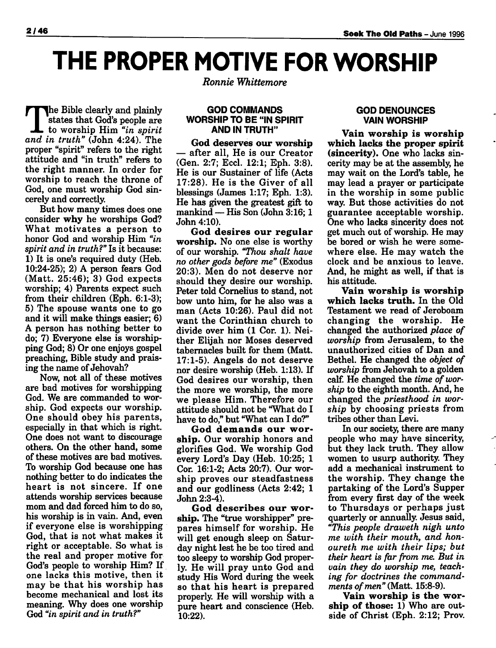# *THE PROPER MOTIVE FOR WORSHIP*

The Bible clearly and plainly states that God's people are to worship Him **"in spirit and in truth"** (John 4:24). The proper "spirit" refers to the right attitude and "in truth" refers to the right manner. In order for worship to reach the throne of God, one must worship God sin cerely and correctly.

But how many times does one consider *why* he worships God? What motivates a person to honor God and worship Him **"in spirit and in truth?"**Is it because: 1) It is one's required duty (Heb. 10:24-25); 2) A person fears God (Matt. 25:46); 3) God expects worship; 4) Parents expect such from their children (Eph. 6:1-3); 5) The spouse wants one to go and it will make things easier; 6) A person has nothing better to do; 7) Everyone else is worship ping God; 8) Or one enjoys gospel preaching, Bible study and prais ing the name of Jehovah?

Now, not all of these motives are bad motives for worshipping God. We are commanded to wor ship. God expects our worship. One should obey his parents, especially in that which is right. One does not want to discourage others. On the other hand, some of these motives are bad motives. To worship God because one has nothing better to do indicates the heart is not sincere. If one attends worship services because mom and dad forced him to do so, his worship is in vain. And, even if everyone else is worshipping God, that is not what makes it right or acceptable. So what is the real and proper motive for God's people to worship Him? If one lacks this motive, then it may be that his worship has become mechanical and lost its meaning. Why does one worship God **"in spirit and in truth?"**

**Ronnie Whittemore**

### *GOD COMMANDS WORSHIP TO BE "IN SPIRIT AND IN TRUTH"*

*God deserves our worship* — after all, He is our Creator (Gen. 2:7; Eccl. 12:1; Eph. 3:8). He is our Sustainer of life (Acts 17:28). He is the Giver of all blessings (James 1:17; Eph. 1:3). He has given the greatest gift to mankind — His Son (John 3:16; 1 John 4:10).

*God desires our regular worship.* No one else is worthy of our worship. **"Thou shalt have no other gods before me"** (Exodus 20:3). Men do not deserve nor should they desire our worship. Peter told Cornelius to stand, not bow unto him, for he also was a man (Acts 10:26). Paul did not want the Corinthian church to divide over him (1 Cor. 1). Nei ther Elijah nor Moses deserved tabernacles built for them (Matt. 17:1-5). Angels do not deserve nor desire worship (Heb. 1:13). If God desires our worship, then the more we worship, the more we please Him. Therefore our attitude should not be "What do I have to do," but "What can *I* do?"

*God demands our wor ship.* Our worship honors and glorifies God. We worship God every Lord's Day (Heb. 10:25; 1 Cor. 16:1-2; Acts 20:7). Our wor ship proves our steadfastness and our godliness (Acts 2:42; 1 John 2:3-4).

*God describes our wor ship.* The "true worshipper" pre pares himself for worship. He will get enough sleep on Satur day night lest he be too tired and too sleepy to worship God proper ly. He will pray unto God and study His Word during the week so that his heart is prepared properly. He will worship with a pure heart and conscience (Heb. 10:22).

### *GOD DENOUNCES VAIN WORSHIP*

*Vain worship is worship which lacks the proper spirit (sincerity).* One who lacks sin cerity may be at the assembly, he may wait on the Lord's table, he may lead a prayer or participate in the worship in some public way. But those activities do not guarantee acceptable worship. One who lacks sincerity does not get much out of worship. He may be bored or wish he were some where else. He may watch the clock and be anxious to leave. And, he might as well, if that is his attitude.

*Vain worship is worship which lacks truth.* In the Old Testament we read of Jeroboam changing the worship. He changed the authorized **place of worship** from Jerusalem, to the unauthorized cities of Dan and Bethel. He changed the **object of worship** from Jehovah to a golden calf. He changed the **time of wor ship** to the eighth month. And, he changed the **priesthood in wor ship** by choosing priests from tribes other than Levi.

In our society, there are many people who may have sincerity, but they lack truth. They allow women to usurp authority. They add a mechanical instrument to the worship. They change the partaking of the Lord's Supper from every first day of the week to Thursdays or perhaps just quarterly or annually. Jesus said, **"This people draweth nigh unto me with their mouth, and honoureth me with their lips; but their heart is far from me. But in vain they do worship me, teach ing for doctrines the command** ments of men" (Matt. 15:8-9).

*Vain worship is the wor ship of those:* 1) Who are out side of Christ (Eph. 2:12; Prov.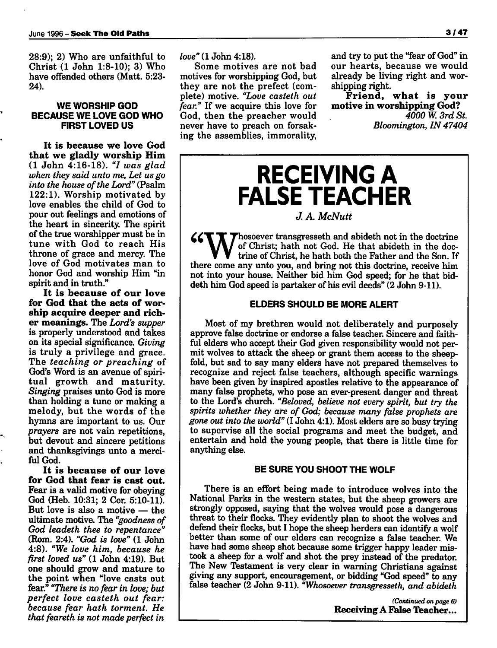28:9); 2) Who are unfaithful to Christ (1 John 1:8-10); 3) Who have offended others (Matt. 5:23- 24).

### *WE WORSHIP GOD BECAUSE WE LOVE GOD WHO FIRST LOVED US*

*It is because we love God that we gladly worship Him* (1 John 4:16-18). **"I was glad when they said unto me, Let us go** into the house of the Lord" (Psalm 122:1). Worship motivated by love enables the child of God to pour out feelings and emotions of the heart in sincerity. The spirit of the true worshipper must be in tune with God to reach His throne of grace and mercy. The love of God motivates man to honor God and worship Him "in spirit and in truth."

*It is because of our love for God that the acts of wor ship acquire deeper and rich er meanings.* The **Lord's supper** is properly understood and takes on its special significance. **Giving** is truly a privilege and grace. The **teaching or preaching** of God's Word is an avenue of spiri tual growth and maturity. **Singing** praises unto God is more than holding a tune or making a melody, but the words of the hymns are important to us. Our **prayers** are not vain repetitions, but devout and sincere petitions and thanksgivings unto a merci ful God.

*It is because of our love for God that fear is cast out.* Fear is a valid motive for obeying God (Heb. 10:31; 2 Cor. 5:10-11). But love is also a motive — the ultimate motive. The **"goodness of God leadeth thee to repentance"** (Rom. 2:4). **"God is love"** (1 John 4:8). **"We love him, because he first loved us"** (1 John 4:19). But one should grow and mature to the point when "love casts out fear." **"There is no fear in love; but perfect love casteth out fear: because fear hath torment. He that feareth is not made perfect in**

**love" (1** John 4:18).

Some motives are not bad motives for worshipping God, but they are not the prefect (com plete) motive. **"Love casteth out fear."** If we acquire this love for God, then the preacher would never have to preach on forsak ing the assemblies, immorality,

and try to put the "fear of God" in our hearts, because we would already be living right and wor shipping right.

*Friend, what is your motive in worshipping God?* **4000 W. 3rd St. Bloomington, IN47404**

### *RECEIVING A FALSE TEACHER*

### **J. A. McNutt**

**"Thosoever transgresseth and abideth not in the doctrine** of Christ; hath not God. He that abideth in the doctrine of Christ, he hath both the Father and the Son. If there come any unto you, and bring not this doctrine, r Thosoever transgresseth and abideth not in the doctrine of Christ; hath not God. He that abideth in the doc trine of Christ, he hath both the Father and the Son. If not into your house. Neither bid him God speed; for he that biddeth him God speed is partaker of his evil deeds" (2 John 9-11).

### *ELDERS SHOULD BE MORE ALERT*

Most of my brethren would not deliberately and purposely approve false doctrine or endorse a false teacher. Sincere and faith ful elders who accept their God given responsibility would not permit wolves to attack the sheep or grant them access to the sheepfold, but sad to say many elders have not prepared themselves to recognize and reject false teachers, although specific warnings have been given by inspired apostles relative to the appearance of many false prophets, who pose an ever-present danger and threat to the Lord's church. **"Beloved, believe not every spirit, but try the spirits whether they are of God; because many false prophets are** gone out into the world" (I John 4:1). Most elders are so busy trying to supervise all the social programs and meet the budget, and entertain and hold the young people, that there is little time for anything else.

#### *BE SURE YOU SHOOT THE WOLF*

There is an effort being made to introduce wolves into the National Parks in the western states, but the sheep growers are strongly opposed, saying that the wolves would pose a dangerous threat to their flocks. They evidently plan to shoot the wolves and defend their flocks, but I hope the sheep herders can identify a wolf better than some of our elders can recognize a false teacher. We have had some sheep shot because some trigger happy leader mis took a sheep for a wolf and shot the prey instead of the predator. The New Testament is very clear in warning Christians against giving any support, encouragement, or bidding "God speed" to any false teacher (2 John 9-11). **"Whosoever transgresseth, and abideth**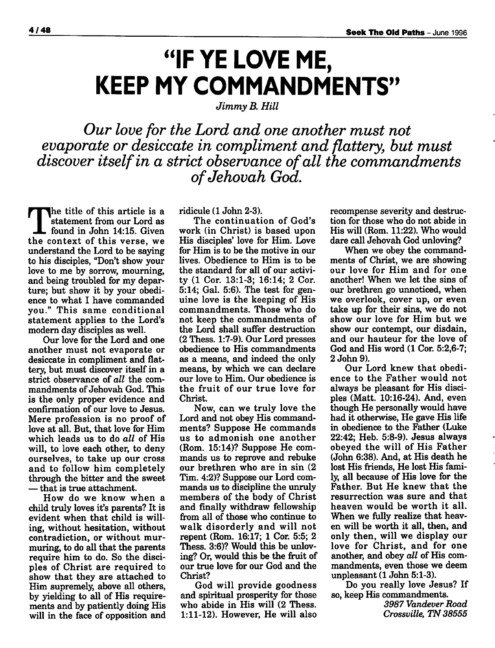## *"IF YE LOVE ME, KEEP MY COMMANDMENTS"*

**Jimmy B. Hill**

**Our love for the Lord and one another must not evaporate or desiccate in compliment and flattery, but must discover itselfin a strict observance ofall the commandments ofJehovah God.**

The title of this article is <sup>a</sup> statement from our Lord as found in John 14:15. Given the context of this verse, we understand the Lord to be saying to his disciples, "Don't show your love to me by sorrow, mourning, and being troubled for my depar ture; but show it by your obedi ence to what I have commanded you." This same conditional statement applies to the Lord's modern daydisciples as well.

Our love for the Lord and one another must not evaporate or desiccate in compliment and flat tery, but must discover itself in a strict observance of **all** the com mandments of Jehovah God. This is the only proper evidence and confirmation of our love to Jesus. Mere profession is no proof of love at all. But, that love for Him which leads us to do **all** of His will, to love each other, to deny ourselves, to take up our cross and to follow him completely through the bitter and the sweet — that is true attachment.

How do we know when a child truly loves it's parents? It is evident when that child is will ing, without hesitation, without contradiction, or without mur muring, to do all that the parents require him to do. So the disciples of Christ are required to show that they are attached to Him supremely, above all others, by yielding to all of His require ments and by patiently doing His will in the face of opposition and ridicule (1 John 2-3).

The continuation of God's work (in Christ) is based upon His disciples' love for Him. Love for Him is to be the motive in our lives. Obedience to Him is to be the standard for all of our activi ty (1 Cor. 13:1-3; 16:14; 2 Cor. 5:14; Gal. 5:6). The test for gen uine love is the keeping of His commandments. Those who do not keep the commandments of the Lord shall suffer destruction (2 Thess. 1:7-9). Our Lord presses obedience to His commandments as a means, and indeed the only means, by which we can declare our love to Him. Our obedience is the fruit of our true love for Christ.

Now, can we truly love the Lord and not obey His command ments? Suppose He commands us to admonish one another (Rom. 15:14)? Suppose He com mands us to reprove and rebuke our brethren who are in sin (2 Tim. 4:2)? Suppose our Lord com mands us to discipline the unruly members of the body of Christ and finally withdraw fellowship from all of those who continue to walk disorderly and will not repent (Rom. 16:17; 1 Cor. 5:5; 2 Thess. 3:6)? Would this be unlov ing? Or, would this be the fruit of our true love for our God and the Christ?

God will provide goodness and spiritual prosperity for those who abide in His will (2 Thess. 1:11-12). However, He will also

recompense severity and destruc tion for those who do not abide in His will (Rom. 11:22). Who would dare call Jehovah God unloving?

When we obey the command ments of Christ, we are showing our love for Him and for one another! When we let the sins of our brethren go unnoticed, when we overlook, cover up, or even take up for their sins, we do not show our love for Him but we show our contempt, our disdain, and our hauteur for the love of God and His word (1 Cor. 5:2,6-7; 2 John 9).

Our Lord knew that obedi ence to the Father would not always be pleasant for His disci ples (Matt. 10:16-24). And, even though He personally would have had it otherwise, He gave His life in obedience to the Father (Luke 22:42; Heb. 5:8-9). Jesus always obeyed the will of His Father (John 6:38). And, at His death he lost His friends, He lost His fami ly, all because of His love for the Father. But He knew that the resurrection was sure and that heaven would be worth it all. When we fully realize that heav en will be worth it all, then, and only then, will we display our love for Christ, and for one another, and obey **all** of His com mandments, even those we deem unpleasant (1 John 5:1-3).

Do you really love Jesus? If so, keep His commandments.

**3987 Vandever Road Crossville, TN 38555**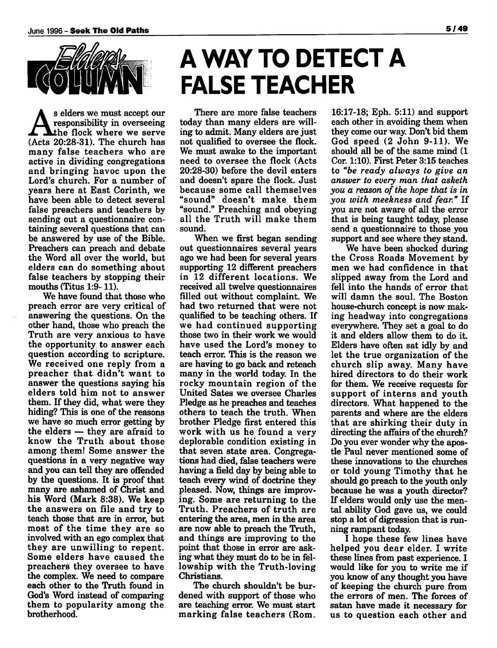

s elders we must accept our responsibility in overseeing the flock where we serve (Acts 20:28-31). The church has many false teachers who are active in dividing congregations and bringing havoc upon the Lord's church. For a number of years here at East Corinth, we have been able to detect several false preachers and teachers by sending out a questionnaire con taining several questions that can be answered by use of the Bible. Preachers can preach and debate the Word all over the world, but elders can do something about false teachers by stopping their mouths (Titus 1:9- 11).

We have found that those who preach error are very critical of answering the questions. On the other hand, those who preach the Truth are very anxious to have the opportunity to answer each question according to scripture. We received one reply from a preacher that didn't want to answer the questions saying his elders told him not to answer them. If they did, what were they hiding? This is one of the reasons we have so much error getting by the elders — they are afraid to know the Truth about those among them! Some answer the questions in a very negative way and you can tell they are offended by the questions. It is proof that many are ashamed of Christ and his Word (Mark 8:38). We keep the answers on file and try to teach those that are in error, but most of the time they are so involved with an ego complex that they are unwilling to repent. Some elders have caused the preachers they oversee to have the complex. We need to compare each other to the Truth found in God's Word instead of comparing them to popularity among the brotherhood.

# *A WAY TO DETECT A FALSE TEACHER*

There are more false teachers today than many elders are will ing to admit. Many elders are just not qualified to oversee the flock. We must awake to the important need to oversee the flock (Acts 20:28-30) before the devil enters and doesn't spare the flock. Just because some call themselves "sound" doesn't make them "sound." Preaching and obeying all the Truth will make them sound.

When we first began sending out questionnaires several years ago we had been for several years supporting 12 different preachers in 12 different locations. We received all twelve questionnaires filled out without complaint. We had two returned that were not qualified to be teaching others. If we had continued supporting those two in their work we would have used the Lord's money to teach error. This is the reason we are having to go back and reteach many in the world today. In the rocky mountain region of the United Sates we oversee Charles Pledge as he preaches and teaches others to teach the truth. When brother Pledge first entered this work with us he found a very deplorable condition existing in that seven state area. Congrega tions had died, false teachers were having a field day by being able to teach every wind of doctrine they pleased. Now, things are improv ing. Some are returning to the Truth. Preachers of truth are entering the area, men in the area are now able to preach the Truth, and things are improving to the point that those in error are ask ing what they must do to be in fel lowship with the Truth-loving Christians.

The church shouldn't be bur dened with support of those who are teaching error. We must start marking false teachers (Rom.

16:17-18; Eph. 5:11) and support each other in avoiding them when they come our way. Don't bid them God speed (2 John 9-11). We should all be of the same mind (1 Cor. 1:10). First Peter 3:15 teaches to **"be ready always to give an answer to every man that asketh you a reason of the hope that is in you with meekness and fear."** If you are not aware of all the error that is being taught today, please send a questionnaire to those you support and see where they stand.

We have been shocked during the Cross Roads Movement by men we had confidence in that slipped away from the Lord and fell into the hands of error that will damn the soul. The Boston house-church concept is now mak ing headway into congregations everywhere. They set a goal to do it and elders allow them to do it. Elders have often sat idly by and let the true organization of the church slip away. Many have hired directors to do their work for them. We receive requests for support of interns and youth directors. What happened to the parents and where are the elders that are shirking their duty in directing the affairs of the church? Do you ever wonder why the apos tle Paul never mentioned some of these innovations to the churches or told young Timothy that he should go preach to the youth only because he was a youth director? If elders would only use the men tal ability God gave us, we could stop a lot of digression that is run ning rampant today.

I hope these few lines have helped you dear elder. I write these lines from past experience. I would like for you to write me if you know of any thought you have of keeping the church pure from the errors of men. The forces of satan have made it necessary for us to question each other and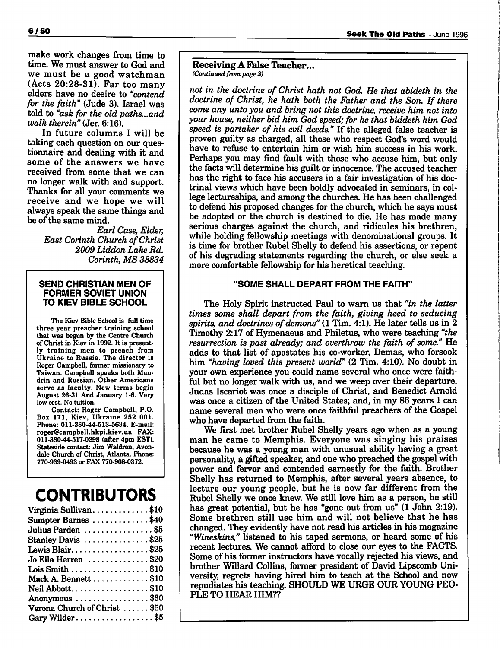make work changes from time to time. We must answer to God and we must be a good watchman (Acts 20:28-31). Far too many elders have no desire to **"contend for the faith"** (Jude 3). Israel was told to **"ask for the old paths...and walk therein"** (Jer. 6:16).

*In* future columns I will be taking each question on our ques tionnaire and dealing with it and some of the answers we have received from some that we can no longer walk with and support. Thanks for all your comments we receive and we hope we will always speak the same things and be of the same mind.

> **Earl Case, Elder, East Corinth Church ofChrist 2009 Liddon Lake Rd. Corinth, MS 38834**

#### *SEND CHRISTIAN MEN OF FORMER SOVIET UNION TO KIEV BIBLE SCHOOL*

*The Kiev Bible School is full time three year preacher training school that was begun by the Centre Church of Christ in Kiev in 1992. It is present ly training men to preach from Ukraine to Russia. The director is Roger Campbell, former missionary to Taiwan. Campbell speaks both Mandrin and Russian. Other Americans serve as faculty. New terms begin August 26-31 And January 1-6. Very low cost. No tuition.*

*Contact: Roger Campbell, P.O. Box 171, Kiev, Ukraine 252 001. Phone: 011-380-44-513-5634. E-mail: roger@campbell.hkpi.kiev.ua FAX: 011-380-44-517-0298 (after 4pm EST). Stateside contact: Jim Waldron, Avondale Church of Christ, Atlanta. Phone: 770-939-0493 or FAX 770-908-0372.*

### *CONTRIBUTORS*

#### *ReceivingA False Teacher... (Continued from page 3)*

**not in the doctrine of Christ hath not God. He that abideth in the doctrine of Christ, he hath both the Father and the Son. If there come any unto you and bring not this doctrine, receive him not into your house, neither bid him God speed;for he that biddeth him God speed is partaker of his evil deeds."** If the alleged false teacher is proven guilty as charged, all those who respect God's word would have to refuse to entertain him or wish him success in his work. Perhaps you may find fault with those who accuse him, but only the facts will determine his guilt or innocence. The accused teacher has the right to face his accusers in a fair investigation of his doc trinal views which have been boldly advocated in seminars, in col lege lectureships, and among the churches. He has been challenged to defend his proposed changes for the church, which he says must be adopted or the church is destined to die. He has made many serious charges against the church, and ridicules his brethren, while holding fellowship meetings with denominational groups. It is time for brother Rubel Shelly to defend his assertions, or repent of his degrading statements regarding the church, or else seek a more comfortable fellowship for his heretical teaching.

### "SOME SHALL DEPART FROM THE FAITH"

The Holy Spirit instructed Paul to warn us that **"in the latter times some shall depart from the faith, giving heed to seducing** spirits, and doctrines of demons" (1 Tim. 4:1). He later tells us in 2 Timothy 2:17 of Hymenaeus and Philetus, who were teaching **"the resurrection is past already; and overthrow the faith of some." He** adds to that list of apostates his co-worker, Demas, who forsook him **"having loved this present world"** (2 Tim. 4:10). No doubt in your own experience you could name several who once were faith ful but no longer walk with us, and we weep over their departure. Judas Iscariot was once a disciple of Christ, and Benedict Arnold was once a citizen of the United States; and, in my 86 years I can name several men who were once faithful preachers of the Gospel who have departed from the faith.

We first met brother Rubel Shelly years ago when as a young man he came to Memphis. Everyone was singing his praises because he was a young man with unusual ability having a great personality, a gifted speaker, and one who preached the gospel with power and fervor and contended earnestly for the faith. Brother Shelly has returned to Memphis, after several years absence, to lecture our young people, but he is now far different from the Rubel Shelly we once knew. We still love him as a person, he still has great potential, but he has "gone out from us" (1 John 2:19). Some brethren still use him and will not believe that he has changed. They evidently have not read his articles in his magazine **"Wineskins,"** listened to his taped sermons, or heard some of his recent lectures. We cannot afford to close our eyes to the FACTS. Some of his former instructors have vocally rejected his views, and brother Willard Collins, former president of David Lipscomb Uni versity, regrets having hired him to teach at the School and now repudiates his teaching. SHOULD WE URGE OUR YOUNG PEO PLE TO HEAR HIM??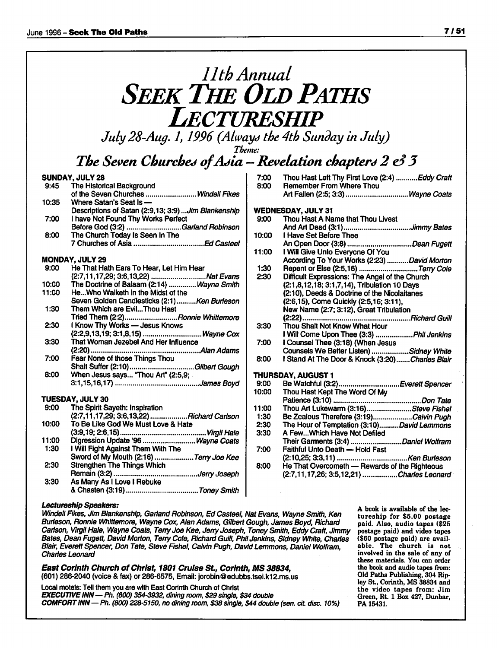### **11th Annual SEEK THE OLD PATHS Lectureship**

**July 28-Aug. 1,1996 (Always the 4th Sunday in July)**

**Theme:**

### *The Seven Churches o/A^ia —Revelation chapter\*\* 2* **e3***3*

#### *SUNDAY, JULY 28*

| 9:45  | The Historical Background                           |
|-------|-----------------------------------------------------|
|       | of the Seven Churches  Windell Fikes                |
| 10:35 | Where Satan's Seat Is -                             |
|       | Descriptions of Satan (2:9,13; 3:9) Jim Blankenship |
| 7:00  | I have Not Found Thy Works Perfect                  |
|       | Before God (3:2) Garland Robinson                   |
| 8:00  | The Church Today Is Seen In The                     |
|       |                                                     |
|       | <b>MONDAY, JULY 29</b>                              |
|       | 9:00 He That Hath Fars To Hear Let Him Hear         |

| 9:00  | He That Hath Ears To Hear, Let Him Hear     |
|-------|---------------------------------------------|
|       |                                             |
| 10:00 | The Doctrine of Balaam (2:14) Wayne Smith   |
| 11:00 | HeWho Walketh in the Midst of the           |
|       | Seven Golden Candlesticks (2:1)Ken Burleson |
| 1:30  | Them Which are EvilThou Hast                |
|       | Tried Them (2:2)Ronnie Whittemore           |
| 2:30  | I Know Thy Works - Jesus Knows              |
|       |                                             |
| 3:30  | That Woman Jezebel And Her Influence        |
|       |                                             |
| 7:00  | Fear None of those Things Thou              |
|       | Shalt Suffer (2:10)Gilbert Gough            |
| 8:00  | When Jesus says "Thou Art" (2:5,9;          |
|       |                                             |
|       | TUESDAY, JULY 30                            |
|       | 9:00 The Spirit Sayeth: Inspiration         |
|       | (2:7,11,17,29; 3:6,13,22)  Richard Carlson  |
| 10:00 | To Be Like God We Must Love & Hate          |
|       | (3፡9 19፡ 2፡6 15).<br>Vimil Holo             |

- (3:9.19:2:6,15) **Virgil Hale** 11:00 Digression Update '96 ............................... Wayne Coats<br>1:30 I Will Fight Against Them With The 1:30 I Will Fight Against Them With The Sword of My Mouth (2:16) ...................Terry Joe Kee 2:30 Strengthen The Things Which Remain (3:2) **Jerry Joseph** 3:30 As Many As I Love I Rebuke
	- &Chasten (3:19) **Toney Smith**

| 10:00 | I Have Set Before Thee                          |
|-------|-------------------------------------------------|
|       |                                                 |
| 11:00 | I Will Give Unto Everyone Of You                |
|       | According To Your Works (2:23) David Morton     |
| 1:30  | Repent or Else (2:5,16) Terry Cole              |
| 2:30  | Difficult Expressions: The Angel of the Church  |
|       | (2:1,8,12,18; 3:1,7,14), Tribulation 10 Days    |
|       | (2:10), Deeds & Doctrine of the Nicolaitanes    |
|       | (2:6,15), Come Quickly (2:5,16; 3:11),          |
|       | New Name (2:7; 3:12), Great Tribulation         |
|       | (2:22)<br>Richard Guill                         |
| 3:30  | Thou Shalt Not Know What Hour                   |
|       | I Will Come Upon Thee (3:3) Phil Jenkins        |
| 7:00  | I Counsel Thee (3:18) (When Jesus               |
|       | Counsels We Better Listen) Sidney White         |
| 8:00  | I Stand At The Door & Knock (3:20)Charles Blair |
|       |                                                 |
|       | THURSDAY, AUGUST 1                              |
| 9:00  | Be Watchful (3:2)Everett Spencer                |
| 10:00 | Thou Hast Kept The Word Of My                   |
|       |                                                 |
| 11:00 | Thou Art Lukewarm (3:16)Steve Fishel            |
| 1:30  | Be Zealous Therefore (3:19)Calvin Pugh          |
| 2:30  | The Hour of Temptation (3:10)David Lemmons      |
| 3:30  | A FewWhich Have Not Defiled                     |
|       | Their Garments (3:4) Daniel Wolfram             |
| 7:00  | Faithful Unto Death - Hold Fast                 |
|       |                                                 |
| 8:00  | He That Overcometh - Rewards of the Righteous   |

(2:7,11,17,26; 3:5,12,21) **Charles Leonard**

7:00 Thou Hast Left Thy First Love (2:4) ........... Eddy Craft<br>8:00 Remember From Where Thou

Art Fallen (2:5; 3:3) .................................Wayne Coats

Remember From Where Thou

Thou Hast A Name that Thou Livest

*WEDNESDAY, JULY 31*

#### *Lectureship Speakers:*

**Windell Fikes, JimBlankenship, Garland Robinson, EdCasteel, NatEvans, Wayne Smith, Ken Burleson, Ronnie Whittemore, Wayne Cox, Alan Adams, Gilbert Gough, James Boyd, Richard Carlson, Virgil Hale, Wayne Coats, Terry Joe Kee, Jerry Joseph, Toney Smith, Eddy Craft, Jimmy Bates, Dean Fugett, DavidMorton, Terry Cole, RichardGuill, PhilJenkins, Sidney White, Charles Blair, EverettSpencer, Don Tate,Steve Fishel, CalvinPugh, DavidLemmons, Daniel Wolfram, Charles Leonard**

*East Corinth Church ofChrist, 1801 Cruise St, Corinth, MS 38834,* (601) 286-2040 (voice & fax) or 286-6575, Email: jorobin@edubbs.tsei.k12.ms.us

Local motels: Tell them you are with East Corinth Church of Christ *EXECUTIVE INN—***Ph. (800) 354-3932, dining room, \$29 single, \$34 double** *COMFORTINN—Ph.* **(800) 228-5150, no dining room, \$38 single, \$44 double(sen. cit. disc. 10%)** *A book is available of the lec tureship for \$5.00 postage paid. Also, audio tapes (\$25 postage paid) and video tapes (\$60 postage paid) are avail able. The church is not involved in the sale of any of these materials. You can order the book and audio tapes from: Old Paths Publishing, 304 Riploy St., Corinth, MS 38834 and the video tapes from: Jim Green, Rt. 1 Box 427, Dunbar, PA 15431.*